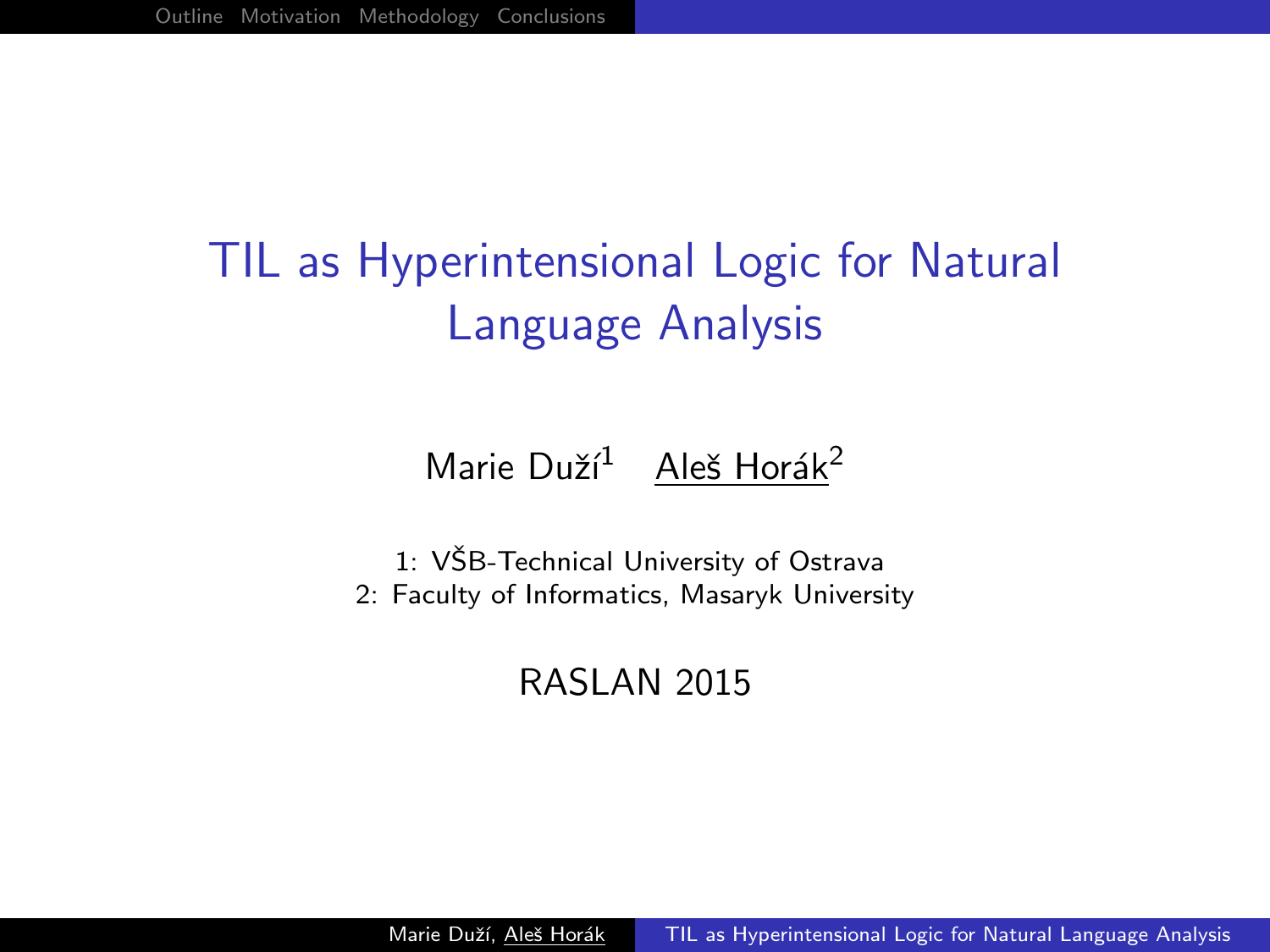# TIL as Hyperintensional Logic for Natural Language Analysis

Marie Duží<sup>1</sup> Aleš Horák<sup>2</sup>

1: VŠB-Technical University of Ostrava 2: Faculty of Informatics, Masaryk University

<span id="page-0-0"></span>RASLAN 2015

Marie Duží, Aleš Horák [TIL as Hyperintensional Logic for Natural Language Analysis](#page-7-0)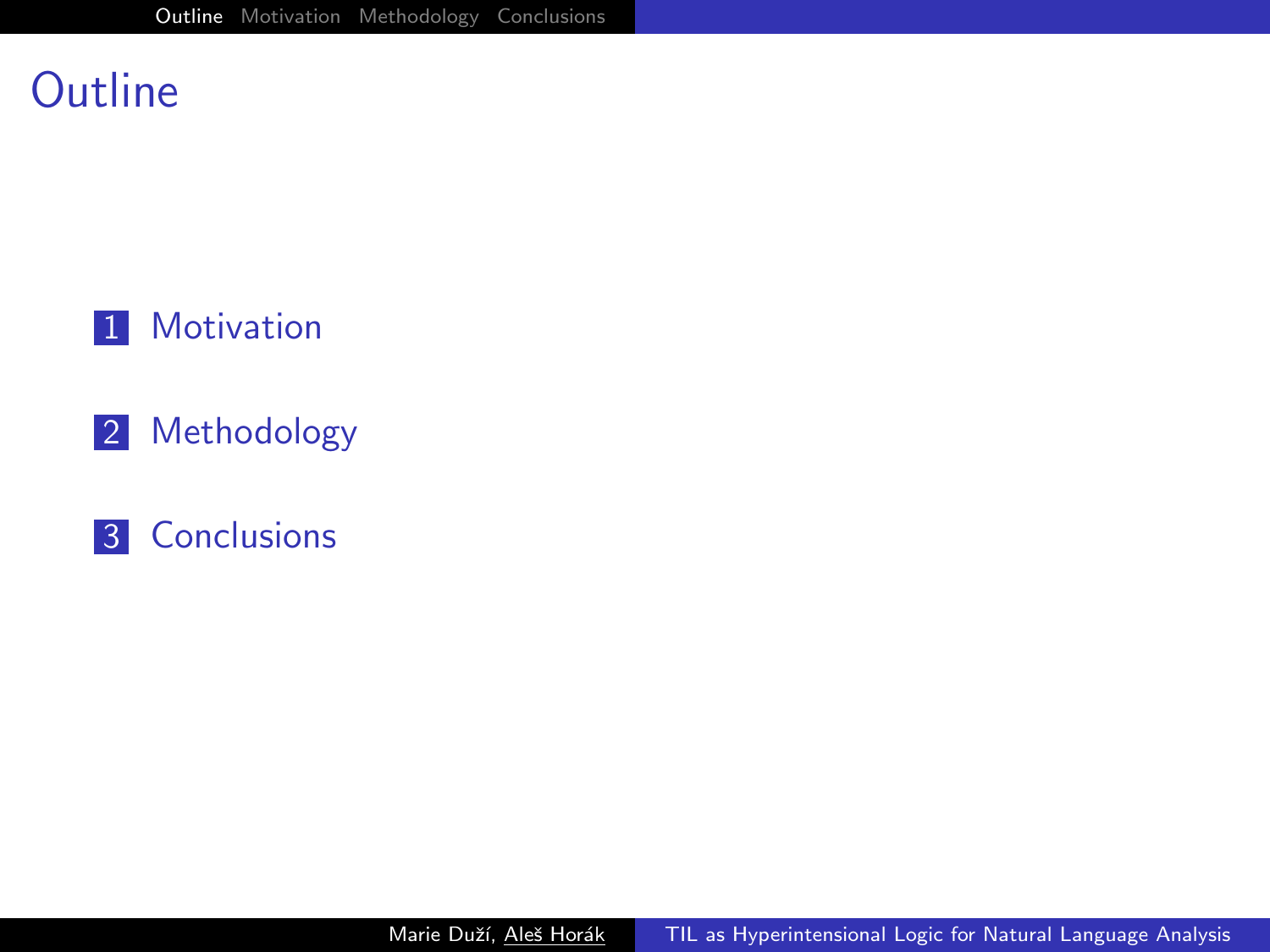#### Outline



- 2 Methodology
- <span id="page-1-0"></span>**3** Conclusions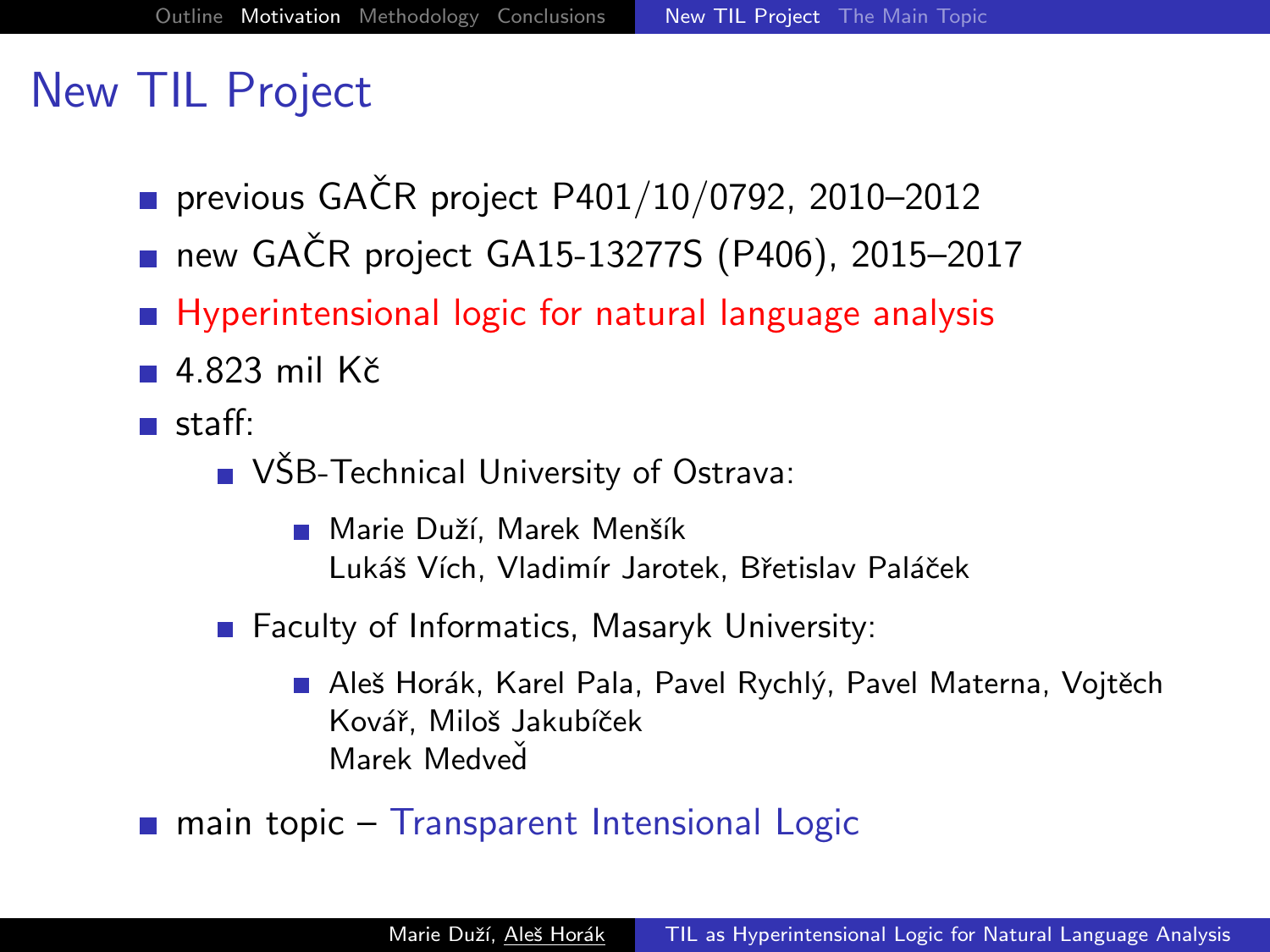## New TIL Project

- previous GAČR project  $P401/10/0792$ , 2010–2012
- new GAČR project GA15-13277S (P406), 2015-2017
- **Hyperintensional logic for natural language analysis**
- $\blacksquare$  4.823 mil Kč
- <span id="page-2-0"></span>staff:
	- VŠB-Technical University of Ostrava:
		- Marie Duží, Marek Menšík Lukáš Vích, Vladimír Jarotek, Břetislav Paláček
	- Faculty of Informatics, Masaryk University:
		- Aleš Horák, Karel Pala, Pavel Rychlý, Pavel Materna, Vojtěch Kovář, Miloš Jakubíček Marek Medved
	- main topic Transparent Intensional Logic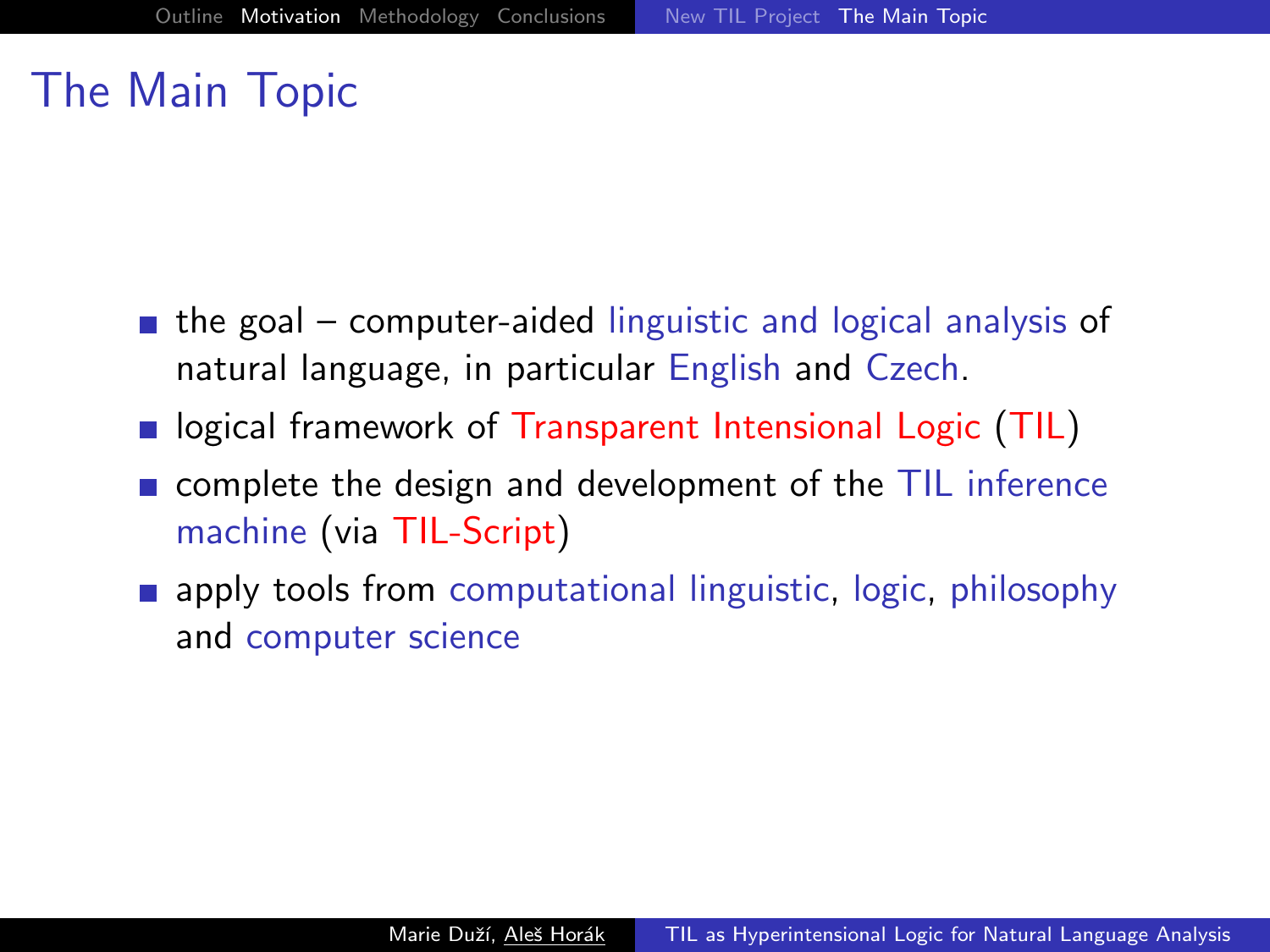#### The Main Topic

- $\blacksquare$  the goal computer-aided linguistic and logical analysis of natural language, in particular English and Czech.
- **I** logical framework of Transparent Intensional Logic (TIL)
- $\blacksquare$  complete the design and development of the TIL inference machine (via TIL-Script)
- <span id="page-3-0"></span>**a** apply tools from computational linguistic, logic, philosophy and computer science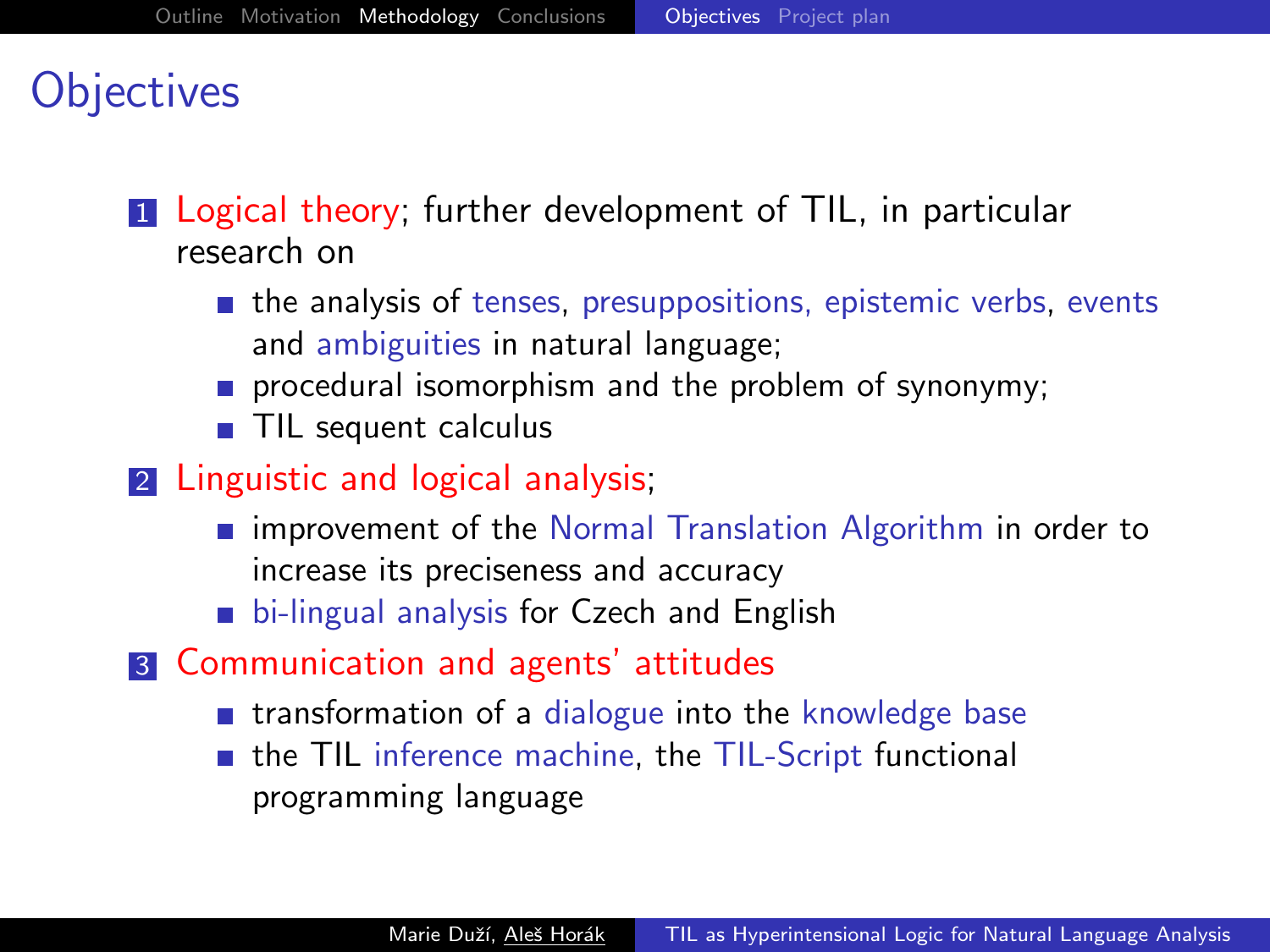## **Objectives**

**1** Logical theory; further development of TIL, in particular research on

- $\blacksquare$  the analysis of tenses, presuppositions, epistemic verbs, events and ambiguities in natural language;
- procedural isomorphism and the problem of synonymy;
- TIL sequent calculus
- 2 Linguistic and logical analysis;
	- **n** improvement of the Normal Translation Algorithm in order to increase its preciseness and accuracy
	- **bi-lingual analysis for Czech and English**
- <span id="page-4-0"></span>3 Communication and agents' attitudes
	- **n** transformation of a dialogue into the knowledge base
	- the TIL inference machine, the TIL-Script functional programming language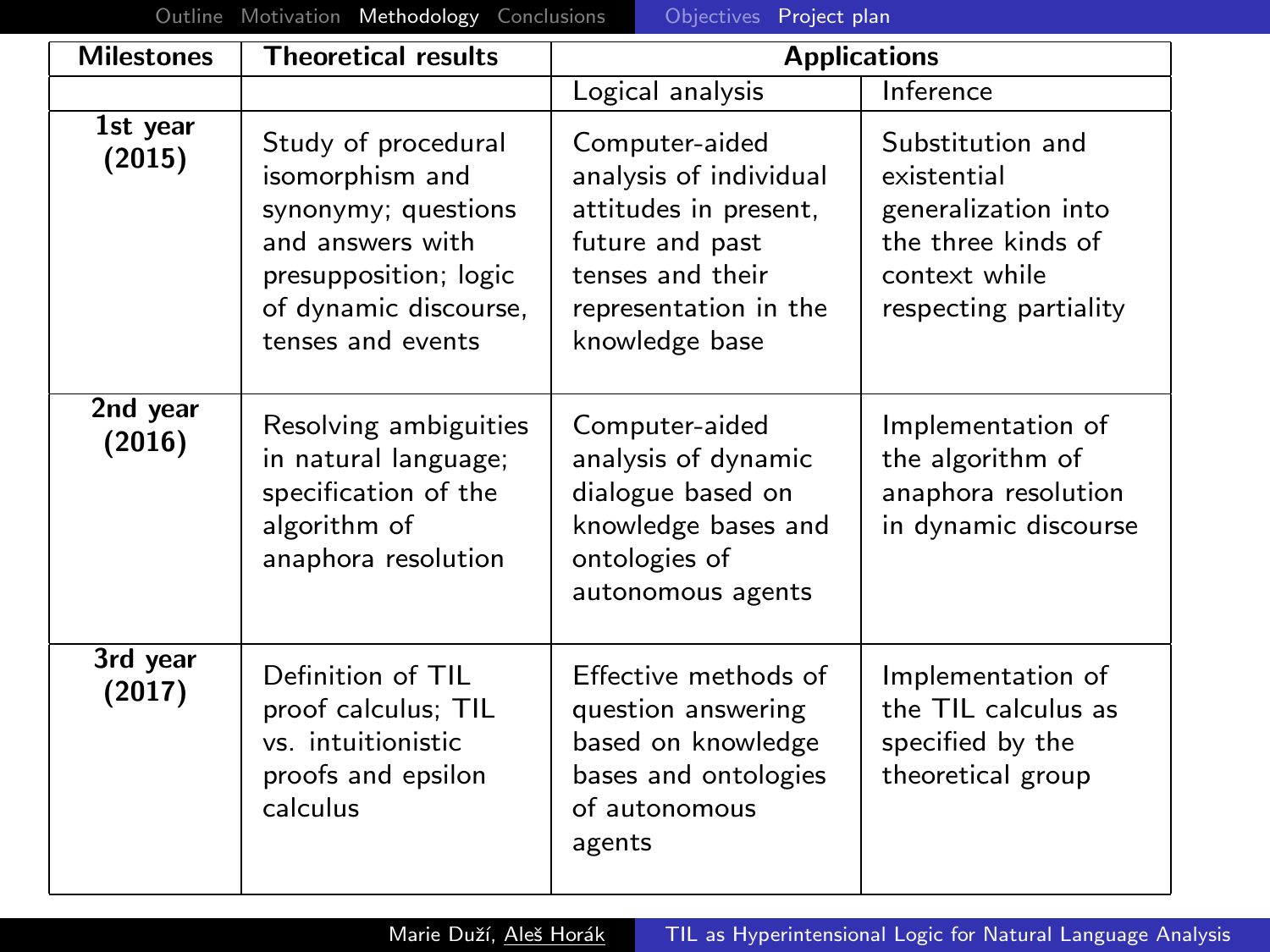[Outline](#page-1-0) [Motivation](#page-2-0) [Methodology](#page-4-0) [Conclusions](#page-7-0) **Conclusions** [Project plan](#page-5-0)

| <b>Milestones</b>  | <b>Theoretical results</b>                                                                                                                               | <b>Applications</b>                                                                                                                                 |                                                                                                                        |
|--------------------|----------------------------------------------------------------------------------------------------------------------------------------------------------|-----------------------------------------------------------------------------------------------------------------------------------------------------|------------------------------------------------------------------------------------------------------------------------|
|                    |                                                                                                                                                          | Logical analysis                                                                                                                                    | Inference                                                                                                              |
| 1st year<br>(2015) | Study of procedural<br>isomorphism and<br>synonymy; questions<br>and answers with<br>presupposition; logic<br>of dynamic discourse,<br>tenses and events | Computer-aided<br>analysis of individual<br>attitudes in present,<br>future and past<br>tenses and their<br>representation in the<br>knowledge base | Substitution and<br>existential<br>generalization into<br>the three kinds of<br>context while<br>respecting partiality |
| 2nd year<br>(2016) | Resolving ambiguities<br>in natural language;<br>specification of the<br>algorithm of<br>anaphora resolution                                             | Computer-aided<br>analysis of dynamic<br>dialogue based on<br>knowledge bases and<br>ontologies of<br>autonomous agents                             | Implementation of<br>the algorithm of<br>anaphora resolution<br>in dynamic discourse                                   |
| 3rd year<br>(2017) | Definition of TIL<br>proof calculus; TIL<br>vs. intuitionistic<br>proofs and epsilon<br>calculus                                                         | Effective methods of<br>question answering<br>based on knowledge<br>bases and ontologies<br>of autonomous<br>agents                                 | Implementation of<br>the TIL calculus as<br>specified by the<br>theoretical group                                      |

<span id="page-5-0"></span>Marie Duží, Aleš Horák [TIL as Hyperintensional Logic for Natural Language Analysis](#page-0-0)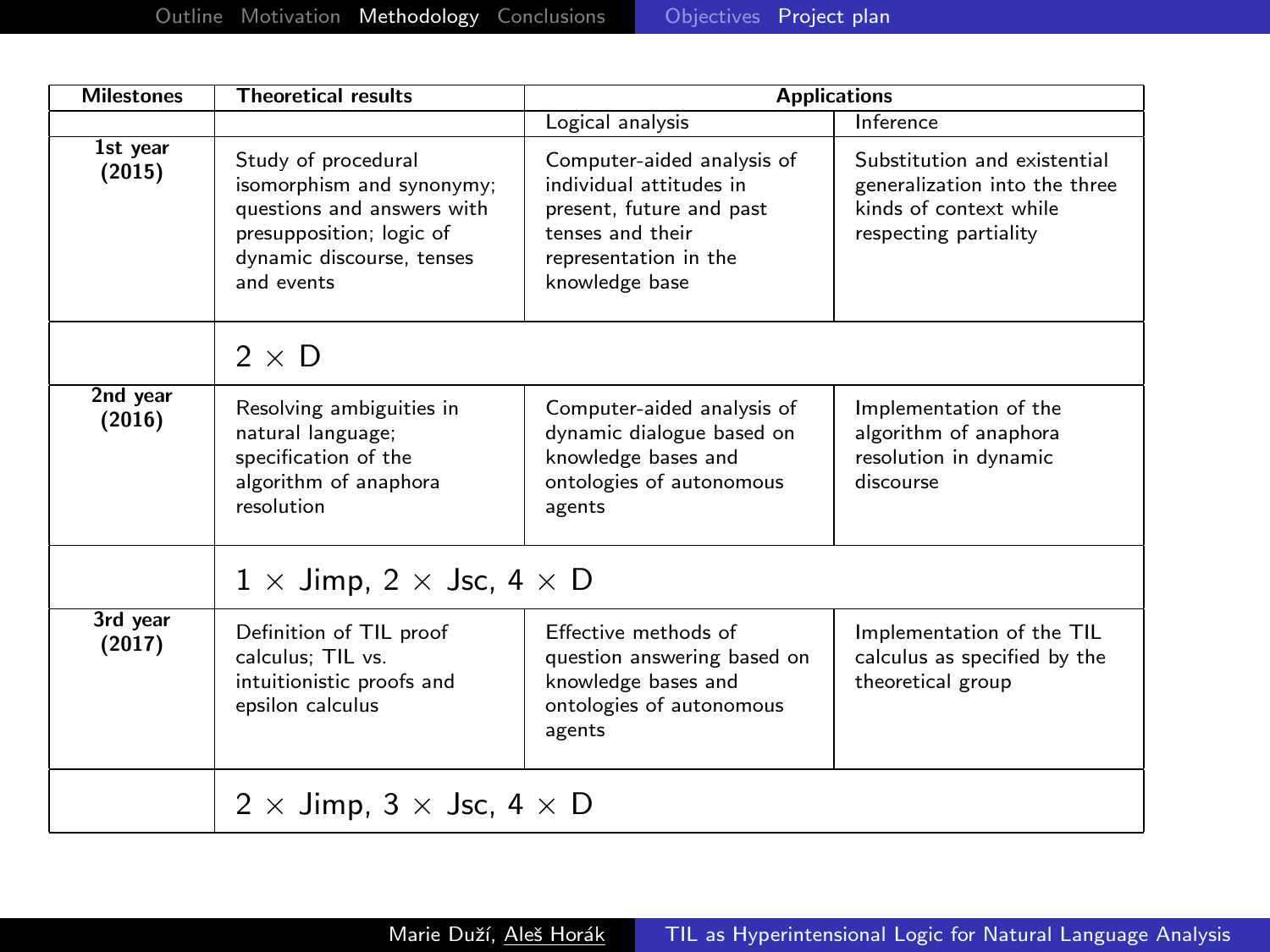| <b>Milestones</b>  | <b>Theoretical results</b>                                                                                                                            | <b>Applications</b>                                                                                                                              |                                                                                                                  |  |
|--------------------|-------------------------------------------------------------------------------------------------------------------------------------------------------|--------------------------------------------------------------------------------------------------------------------------------------------------|------------------------------------------------------------------------------------------------------------------|--|
|                    |                                                                                                                                                       | Logical analysis                                                                                                                                 | <b>Inference</b>                                                                                                 |  |
| 1st year<br>(2015) | Study of procedural<br>isomorphism and synonymy;<br>questions and answers with<br>presupposition; logic of<br>dynamic discourse, tenses<br>and events | Computer-aided analysis of<br>individual attitudes in<br>present, future and past<br>tenses and their<br>representation in the<br>knowledge base | Substitution and existential<br>generalization into the three<br>kinds of context while<br>respecting partiality |  |
|                    | $2 \times D$                                                                                                                                          |                                                                                                                                                  |                                                                                                                  |  |
| 2nd year<br>(2016) | Resolving ambiguities in<br>natural language;<br>specification of the<br>algorithm of anaphora<br>resolution                                          | Computer-aided analysis of<br>dynamic dialogue based on<br>knowledge bases and<br>ontologies of autonomous<br>agents                             | Implementation of the<br>algorithm of anaphora<br>resolution in dynamic<br>discourse                             |  |
|                    | $1 \times$ Jimp, 2 $\times$ Jsc, 4 $\times$ D                                                                                                         |                                                                                                                                                  |                                                                                                                  |  |
| 3rd year<br>(2017) | Definition of TIL proof<br>calculus: TIL vs.<br>intuitionistic proofs and<br>epsilon calculus                                                         | Effective methods of<br>question answering based on<br>knowledge bases and<br>ontologies of autonomous<br>agents                                 | Implementation of the TIL<br>calculus as specified by the<br>theoretical group                                   |  |
|                    | 2 $\times$ Jimp, 3 $\times$ Jsc, 4 $\times$ D                                                                                                         |                                                                                                                                                  |                                                                                                                  |  |